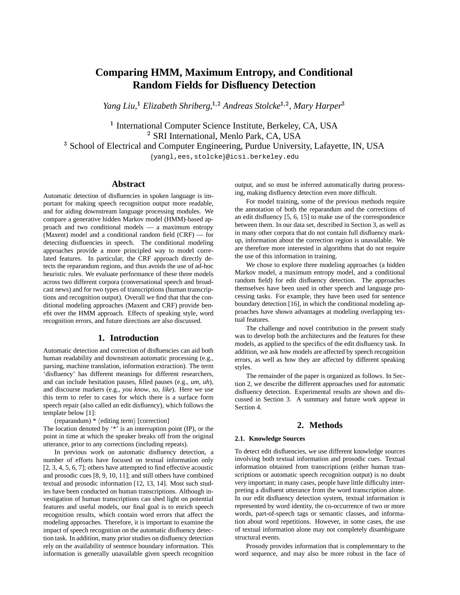# **Comparing HMM, Maximum Entropy, and Conditional Random Fields for Disfluency Detection**

*Yang Liu,*<sup>1</sup> *Elizabeth Shriberg,*1;2 *Andreas Stolcke*1;2 *, Mary Harper*<sup>3</sup>

<sup>1</sup> International Computer Science Institute, Berkeley, CA, USA <sup>2</sup> SRI International, Menlo Park, CA, USA <sup>3</sup> School of Electrical and Computer Engineering, Purdue University, Lafayette, IN, USA {yangl, ees, stolcke}@icsi.berkeley.edu

# **Abstract**

Automatic detection of disfluencies in spoken language is important for making speech recognition output more readable, and for aiding downstream language processing modules. We compare a generative hidden Markov model (HMM)-based approach and two conditional models — a maximum entropy (Maxent) model and a conditional random field (CRF) — for detecting disfluencies in speech. The conditional modeling approaches provide a more principled way to model correlated features. In particular, the CRF approach directly detects the reparandum regions, and thus avoids the use of ad-hoc heuristic rules. We evaluate performance of these three models across two different corpora (conversational speech and broadcast news) and for two types of transcriptions (human transcriptions and recognition output). Overall we find that that the conditional modeling approaches (Maxent and CRF) provide benefit over the HMM approach. Effects of speaking style, word recognition errors, and future directions are also discussed.

### **1. Introduction**

Automatic detection and correction of disfluencies can aid both human readability and downstream automatic processing (e.g., parsing, machine translation, information extraction). The term 'disfluency' has different meanings for different researchers, and can include hesitation pauses, filled pauses (e.g., *um*, *uh*), and discourse markers (e.g., *you know*, *so*, *like*). Here we use this term to refer to cases for which there is a surface form speech repair (also called an edit disfluency), which follows the template below [1]:

(reparandum)  $*$   $\langle$  editing term $\rangle$  [correction]

The location denoted by '\*' is an interruption point (IP), or the point in time at which the speaker breaks off from the original utterance, prior to any corrections (including repeats).

In previous work on automatic disfluency detection, a number of efforts have focused on textual information only [2, 3, 4, 5, 6, 7]; others have attempted to find effective acoustic and prosodic cues [8, 9, 10, 11]; and still others have combined textual and prosodic information [12, 13, 14]. Most such studies have been conducted on human transcriptions. Although investigation of human transcriptions can shed light on potential features and useful models, our final goal is to enrich speech recognition results, which contain word errors that affect the modeling approaches. Therefore, it is important to examine the impact of speech recognition on the automatic disfluency detection task. In addition, many prior studies on disfluency detection rely on the availability of sentence boundary information. This information is generally unavailable given speech recognition output, and so must be inferred automatically during processing, making disfluency detection even more difficult.

For model training, some of the previous methods require the annotation of both the reparandum and the corrections of an edit disfluency [5, 6, 15] to make use of the correspondence between them. In our data set, described in Section 3, as well as in many other corpora that do not contain full disfluency markup, information about the correction region is unavailable. We are therefore more interested in algorithms that do not require the use of this information in training.

We chose to explore three modeling approaches (a hidden Markov model, a maximum entropy model, and a conditional random field) for edit disfluency detection. The approaches themselves have been used in other speech and language processing tasks. For example, they have been used for sentence boundary detection [16], in which the conditional modeling approaches have shown advantages at modeling overlapping textual features.

The challenge and novel contribution in the present study was to develop both the architectures and the features for these models, as applied to the specifics of the edit disfluency task. In addition, we ask how models are affected by speech recognition errors, as well as how they are affected by different speaking styles.

The remainder of the paper is organized as follows. In Section 2, we describe the different approaches used for automatic disfluency detection. Experimental results are shown and discussed in Section 3. A summary and future work appear in Section 4.

# **2. Methods**

#### **2.1. Knowledge Sources**

To detect edit disfluencies, we use different knowledge sources involving both textual information and prosodic cues. Textual information obtained from transcriptions (either human transcriptions or automatic speech recognition output) is no doubt very important; in many cases, people have little difficulty interpreting a disfluent utterance from the word transcription alone. In our edit disfluency detection system, textual information is represented by word identity, the co-occurrence of two or more words, part-of-speech tags or semantic classes, and information about word repetitions. However, in some cases, the use of textual information alone may not completely disambiguate structural events.

Prosody provides information that is complementary to the word sequence, and may also be more robust in the face of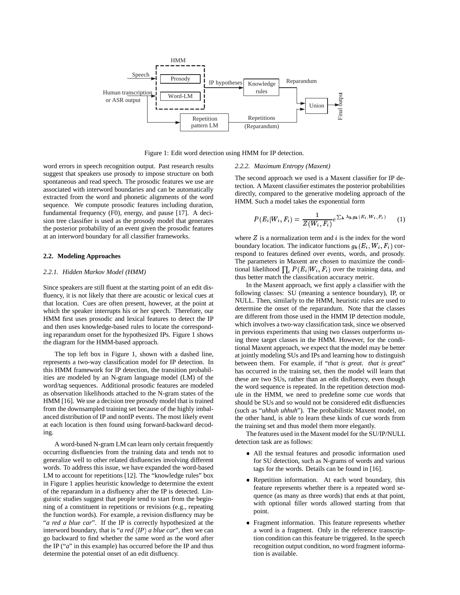

Figure 1: Edit word detection using HMM for IP detection.

word errors in speech recognition output. Past research results suggest that speakers use prosody to impose structure on both spontaneous and read speech. The prosodic features we use are associated with interword boundaries and can be automatically extracted from the word and phonetic alignments of the word sequence. We compute prosodic features including duration, fundamental frequency (F0), energy, and pause [17]. A decision tree classifier is used as the prosody model that generates the posterior probability of an event given the prosodic features at an interword boundary for all classifier frameworks.

#### **2.2. Modeling Approaches**

#### *2.2.1. Hidden Markov Model (HMM)*

Since speakers are still fluent at the starting point of an edit disfluency, it is not likely that there are acoustic or lexical cues at that location. Cues are often present, however, at the point at which the speaker interrupts his or her speech. Therefore, our HMM first uses prosodic and lexical features to detect the IP and then uses knowledge-based rules to locate the corresponding reparandum onset for the hypothesized IPs. Figure 1 shows the diagram for the HMM-based approach.

The top left box in Figure 1, shown with a dashed line, represents a two-way classification model for IP detection. In this HMM framework for IP detection, the transition probabilities are modeled by an N-gram language model (LM) of the word/tag sequences. Additional prosodic features are modeled as observation likelihoods attached to the N-gram states of the HMM [16]. We use a decision tree prosody model that is trained from the downsampled training set because of the highly imbalanced distribution of IP and nonIP events. The most likely event at each location is then found using forward-backward decoding.

A word-based N-gram LM can learn only certain frequently occurring disfluencies from the training data and tends not to generalize well to other related disfluencies involving different words. To address this issue, we have expanded the word-based LM to account for repetitions [12]. The "knowledge rules" box in Figure 1 applies heuristic knowledge to determine the extent of the reparandum in a disfluency after the IP is detected. Linguistic studies suggest that people tend to start from the beginning of a constituent in repetitions or revisions (e.g., repeating the function words). For example, a revision disfluency may be "*a red a blue car*". If the IP is correctly hypothesized at the interword boundary, that is "*a red*  $\langle IP \rangle$  *a blue car*", then we can go backward to find whether the same word as the word after the IP ("*a*" in this example) has occurred before the IP and thus determine the potential onset of an edit disfluency.

#### *2.2.2. Maximum Entropy (Maxent)*

The second approach we used is a Maxent classifier for IP detection. A Maxent classifier estimates the posterior probabilities directly, compared to the generative modeling approach of the HMM. Such a model takes the exponential form

$$
P(E_i|W_i, F_i) = \frac{1}{Z(W_i, F_i)} e^{\sum_k \lambda_k g_k(E_i, W_i, F_i)} \qquad (1)
$$

where  $Z$  is a normalization term and  $i$  is the index for the word boundary location. The indicator functions  $g_k(E_i, W_i, F_i)$  correspond to features defined over events, words, and prosody. The parameters in Maxent are chosen to maximize the conditional likelihood  $\prod_i P(E_i|W_i, F_i)$  over the training data, and thus better match the classification accuracy metric.

In the Maxent approach, we first apply a classifier with the following classes: SU (meaning a sentence boundary), IP, or NULL. Then, similarly to the HMM, heuristic rules are used to determine the onset of the reparandum. Note that the classes are different from those used in the HMM IP detection module, which involves a two-way classification task, since we observed in previous experiments that using two classes outperforms using three target classes in the HMM. However, for the conditional Maxent approach, we expect that the model may be better at jointly modeling SUs and IPs and learning how to distinguish between them. For example, if "*that is great. that is great*" has occurred in the training set, then the model will learn that these are two SUs, rather than an edit disfluency, even though the word sequence is repeated. In the repetition detection module in the HMM, we need to predefine some cue words that should be SUs and so would not be considered edit disfluencies (such as "*uhhuh uhhuh*"). The probabilistic Maxent model, on the other hand, is able to learn these kinds of cue words from the training set and thus model them more elegantly.

The features used in the Maxent model for the SU/IP/NULL detection task are as follows:

- All the textual features and prosodic information used for SU detection, such as N-grams of words and various tags for the words. Details can be found in [16].
- Repetition information. At each word boundary, this feature represents whether there is a repeated word sequence (as many as three words) that ends at that point, with optional filler words allowed starting from that point.
- Fragment information. This feature represents whether a word is a fragment. Only in the reference transcription condition can this feature be triggered. In the speech recognition output condition, no word fragment information is available.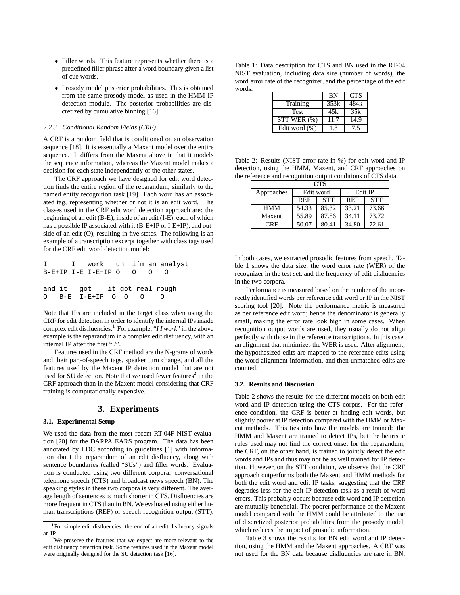- Filler words. This feature represents whether there is a predefined filler phrase after a word boundary given a list of cue words.
- Prosody model posterior probabilities. This is obtained from the same prosody model as used in the HMM IP detection module. The posterior probabilities are discretized by cumulative binning [16].

#### *2.2.3. Conditional Random Fields (CRF)*

A CRF is a random field that is conditioned on an observation sequence [18]. It is essentially a Maxent model over the entire sequence. It differs from the Maxent above in that it models the sequence information, whereas the Maxent model makes a decision for each state independently of the other states.

The CRF approach we have designed for edit word detection finds the entire region of the reparandum, similarly to the named entity recognition task [19]. Each word has an associated tag, representing whether or not it is an edit word. The classes used in the CRF edit word detection approach are: the beginning of an edit (B-E); inside of an edit (I-E); each of which has a possible IP associated with it (B-E+IP or I-E+IP), and outside of an edit (O), resulting in five states. The following is an example of a transcription excerpt together with class tags used for the CRF edit word detection model:

|  |                              |  |  | I I work uh i'm an analyst |
|--|------------------------------|--|--|----------------------------|
|  | $B-E+IP I-E I-E+IP O O O$    |  |  |                            |
|  |                              |  |  |                            |
|  | and it got it got real rough |  |  |                            |
|  | 0 B-E I-E+IP 0 0 0           |  |  |                            |
|  |                              |  |  |                            |

Note that IPs are included in the target class when using the CRF for edit detection in order to identify the internal IPs inside complex edit disfluencies.<sup>1</sup> For example, "*I I work*" in the above example is the reparandum in a complex edit disfluency, with an internal IP after the first " *I*".

Features used in the CRF method are the N-grams of words and their part-of-speech tags, speaker turn change, and all the features used by the Maxent IP detection model that are not used for SU detection. Note that we used fewer features<sup>2</sup> in the CRF approach than in the Maxent model considering that CRF training is computationally expensive.

# **3. Experiments**

#### **3.1. Experimental Setup**

We used the data from the most recent RT-04F NIST evaluation [20] for the DARPA EARS program. The data has been annotated by LDC according to guidelines [1] with information about the reparandum of an edit disfluency, along with sentence boundaries (called "SUs") and filler words. Evaluation is conducted using two different corpora: conversational telephone speech (CTS) and broadcast news speech (BN). The speaking styles in these two corpora is very different. The average length of sentences is much shorter in CTS. Disfluencies are more frequent in CTS than in BN. We evaluated using either human transcriptions (REF) or speech recognition output (STT).

Table 1: Data description for CTS and BN used in the RT-04 NIST evaluation, including data size (number of words), the word error rate of the recognizer, and the percentage of the edit words.

|                   | <b>BN</b> | <b>CTS</b> |
|-------------------|-----------|------------|
| Training          | 353k      | 484k       |
| Test              | 45k       | 35k        |
| STT WER(%)        | 11.7      | 14.9       |
| Edit word $(\% )$ | 18        | 7.5        |

Table 2: Results (NIST error rate in %) for edit word and IP detection, using the HMM, Maxent, and CRF approaches on the reference and recognition output conditions of CTS data.

| <b>CTS</b> |            |            |            |            |  |  |
|------------|------------|------------|------------|------------|--|--|
| Approaches |            | Edit word  | Edit IP    |            |  |  |
|            | <b>REF</b> | <b>STT</b> | <b>REF</b> | <b>STT</b> |  |  |
| <b>HMM</b> | 54.33      | 85.32      | 33.21      | 73.66      |  |  |
| Maxent     | 55.89      | 87.86      | 34.11      | 73.72      |  |  |
| CRF        | 50.07      | 80.41      | 34.80      | 72.61      |  |  |

In both cases, we extracted prosodic features from speech. Table 1 shows the data size, the word error rate (WER) of the recognizer in the test set, and the frequency of edit disfluencies in the two corpora.

Performance is measured based on the number of the incorrectly identified words per reference edit word or IP in the NIST scoring tool [20]. Note the performance metric is measured as per reference edit word; hence the denominator is generally small, making the error rate look high in some cases. When recognition output words are used, they usually do not align perfectly with those in the reference transcriptions. In this case, an alignment that minimizes the WER is used. After alignment, the hypothesized edits are mapped to the reference edits using the word alignment information, and then unmatched edits are counted.

#### **3.2. Results and Discussion**

Table 2 shows the results for the different models on both edit word and IP detection using the CTS corpus. For the reference condition, the CRF is better at finding edit words, but slightly poorer at IP detection compared with the HMM or Maxent methods. This ties into how the models are trained: the HMM and Maxent are trained to detect IPs, but the heuristic rules used may not find the correct onset for the reparandum; the CRF, on the other hand, is trained to jointly detect the edit words and IPs and thus may not be as well trained for IP detection. However, on the STT condition, we observe that the CRF approach outperforms both the Maxent and HMM methods for both the edit word and edit IP tasks, suggesting that the CRF degrades less for the edit IP detection task as a result of word errors. This probably occurs because edit word and IP detection are mutually beneficial. The poorer performance of the Maxent model compared with the HMM could be attributed to the use of discretized posterior probabilities from the prosody model, which reduces the impact of prosodic information.

Table 3 shows the results for BN edit word and IP detection, using the HMM and the Maxent approaches. A CRF was not used for the BN data because disfluencies are rare in BN,

<sup>1</sup>For simple edit disfluencies, the end of an edit disfluency signals an IP.

<sup>2</sup>We preserve the features that we expect are more relevant to the edit disfluency detection task. Some features used in the Maxent model were originally designed for the SU detection task [16].